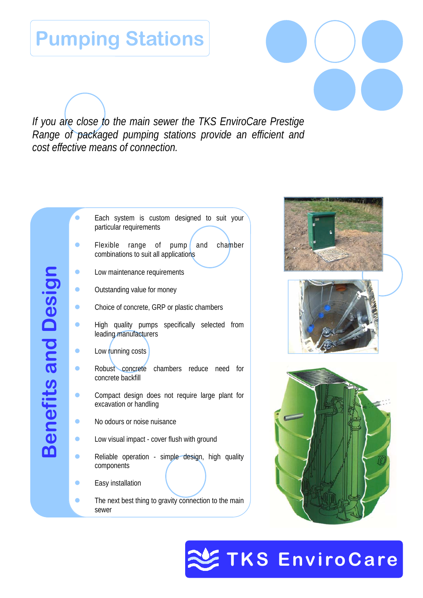## **Pumping Stations**

*If you are close to the main sewer the TKS EnviroCare Prestige Range of packaged pumping stations provide an efficient and cost effective means of connection.* 









# **SENVIROPS**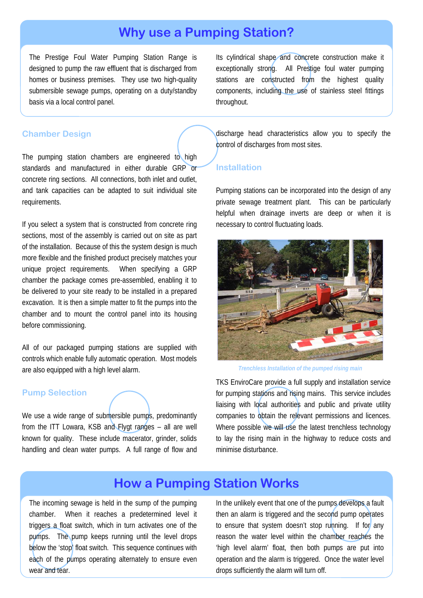### **Why use a Pumping Station?**

The Prestige Foul Water Pumping Station Range is designed to pump the raw effluent that is discharged from homes or business premises. They use two high-quality submersible sewage pumps, operating on a duty/standby basis via a local control panel.

Its cylindrical shape and concrete construction make it exceptionally strong. All Prestige foul water pumping stations are constructed from the highest quality components, including the use of stainless steel fittings throughout.

#### **Chamber Design**

The pumping station chambers are engineered to high standards and manufactured in either durable GRP or concrete ring sections. All connections, both inlet and outlet, and tank capacities can be adapted to suit individual site requirements.

If you select a system that is constructed from concrete ring sections, most of the assembly is carried out on site as part of the installation. Because of this the system design is much more flexible and the finished product precisely matches your unique project requirements. When specifying a GRP chamber the package comes pre-assembled, enabling it to be delivered to your site ready to be installed in a prepared excavation. It is then a simple matter to fit the pumps into the chamber and to mount the control panel into its housing before commissioning.

All of our packaged pumping stations are supplied with controls which enable fully automatic operation. Most models are also equipped with a high level alarm.

#### **Pump Selection**

We use a wide range of submersible pumps, predominantly from the ITT Lowara, KSB and Flygt ranges – all are well known for quality. These include macerator, grinder, solids handling and clean water pumps. A full range of flow and discharge head characteristics allow you to specify the control of discharges from most sites.

#### **Installation**

Pumping stations can be incorporated into the design of any private sewage treatment plant. This can be particularly helpful when drainage inverts are deep or when it is necessary to control fluctuating loads.



*Trenchless Installation of the pumped rising main* 

TKS EnviroCare provide a full supply and installation service for pumping stations and rising mains. This service includes liaising with local authorities and public and private utility companies to obtain the relevant permissions and licences. Where possible we will use the latest trenchless technology to lay the rising main in the highway to reduce costs and minimise disturbance.

## **How a Pumping Station Works**

The incoming sewage is held in the sump of the pumping chamber. When it reaches a predetermined level it triggers a float switch, which in turn activates one of the pumps. The pump keeps running until the level drops below the 'stop' float switch. This sequence continues with each of the pumps operating alternately to ensure even wear and tear.

In the unlikely event that one of the pumps develops a fault then an alarm is triggered and the second pump operates to ensure that system doesn't stop running. If for any reason the water level within the chamber reaches the 'high level alarm' float, then both pumps are put into operation and the alarm is triggered. Once the water level drops sufficiently the alarm will turn off.